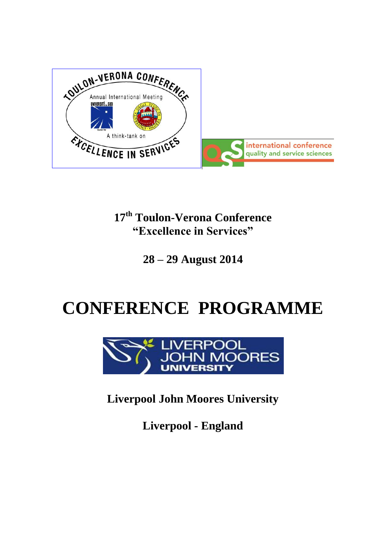

# **17 th Toulon-Verona Conference "Excellence in Services"**

**28 – 29 August 2014**

# **CONFERENCE PROGRAMME**



**Liverpool John Moores University**

**Liverpool - England**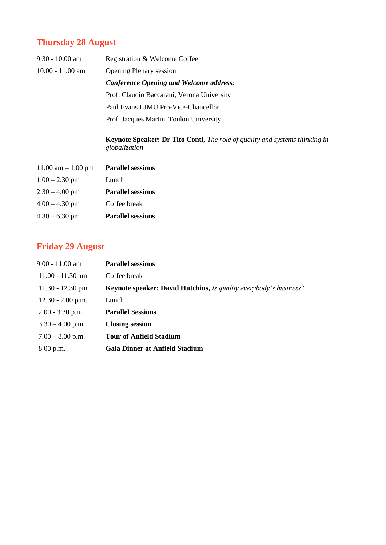# **Thursday 28 August**

| $9.30 - 10.00$ am  | Registration & Welcome Coffee              |
|--------------------|--------------------------------------------|
| $10.00 - 11.00$ am | <b>Opening Plenary session</b>             |
|                    | Conference Opening and Welcome address:    |
|                    | Prof. Claudio Baccarani, Verona University |
|                    | Paul Evans LJMU Pro-Vice-Chancellor        |
|                    | Prof. Jacques Martin, Toulon University    |

**Keynote Speaker: Dr Tito Conti,** *The role of quality and systems thinking in globalization*

| $11.00$ am $- 1.00$ pm | <b>Parallel sessions</b> |
|------------------------|--------------------------|
| $1.00 - 2.30$ pm       | Lunch                    |
| $2.30 - 4.00$ pm       | <b>Parallel sessions</b> |
| $4.00 - 4.30$ pm       | Coffee break             |
| $4.30 - 6.30$ pm       | <b>Parallel sessions</b> |

# **Friday 29 August**

| $9.00 - 11.00$ am   | <b>Parallel sessions</b>                                                 |
|---------------------|--------------------------------------------------------------------------|
| $11.00 - 11.30$ am  | Coffee break                                                             |
| $11.30 - 12.30$ pm. | <b>Keynote speaker: David Hutchins, Is quality everybody's business?</b> |
| $12.30 - 2.00$ p.m. | Lunch                                                                    |
| $2.00 - 3.30$ p.m.  | <b>Parallel Sessions</b>                                                 |
| $3.30 - 4.00$ p.m.  | <b>Closing session</b>                                                   |
| $7.00 - 8.00$ p.m.  | <b>Tour of Anfield Stadium</b>                                           |
| $8.00$ p.m.         | <b>Gala Dinner at Anfield Stadium</b>                                    |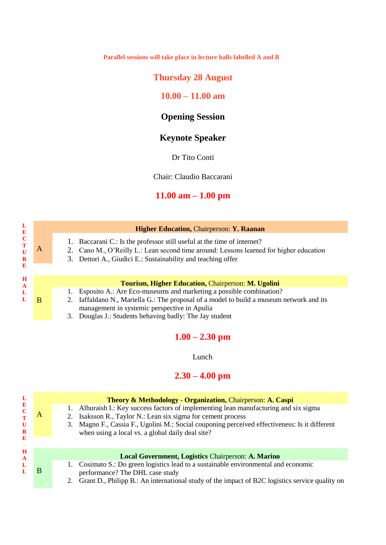**Parallel sessions will take place in lecture halls labelled A and B**

# **Thursday 28 August**

## **10.00 – 11.00 am**

# **Opening Session**

# **Keynote Speaker**

Dr Tito Conti

Chair: Claudio Baccarani

# **11.00 am – 1.00 pm**

|                                                    |  | <b>Higher Education, Chairperson: Y. Raanan</b>                                                                                                                   |
|----------------------------------------------------|--|-------------------------------------------------------------------------------------------------------------------------------------------------------------------|
| A                                                  |  | 1. Baccarani C.: Is the professor still useful at the time of internet?<br>2. Cano M., O'Reilly L.: Lean second time around: Lessons learned for higher education |
|                                                    |  | 3. Dettori A., Giudici E.: Sustainability and teaching offer                                                                                                      |
|                                                    |  |                                                                                                                                                                   |
| Tourism, Higher Education, Chairperson: M. Ugolini |  |                                                                                                                                                                   |
|                                                    |  | Esposito A.: Are Eco-museums and marketing a possible combination?                                                                                                |
| B                                                  |  | Iaffaldano N., Mariella G.: The proposal of a model to build a museum network and its<br>2.                                                                       |
|                                                    |  | management in systemic perspective in Apulia                                                                                                                      |

3. Douglas J.: Students behaving badly: The Jay student

**L E C T U R E**

**H A L L**

# **1.00 – 2.30 pm**

Lunch

# **2.30 – 4.00 pm**

| L                | Theory & Methodology - Organization, Chairperson: A. Caspi |                                                                                                  |
|------------------|------------------------------------------------------------|--------------------------------------------------------------------------------------------------|
| E<br>$\mathbf C$ |                                                            | Alhuraish I.: Key success factors of implementing lean manufacturing and six sigma               |
| T                | А                                                          | Isaksson R., Taylor N.: Lean six sigma for cement process                                        |
| $\mathbf U$      |                                                            | Magno F., Cassia F., Ugolini M.: Social couponing perceived effectiveness: Is it different<br>3. |
| $\bf{R}$         |                                                            | when using a local vs. a global daily deal site?                                                 |
| E                |                                                            |                                                                                                  |
| H                |                                                            |                                                                                                  |
| $\mathbf{A}$     |                                                            | Local Government, Logistics Chairperson: A. Marino                                               |
| L                |                                                            | Cosimato S.: Do green logistics lead to a sustainable environmental and economic                 |
|                  | B                                                          | performance? The DHL case study                                                                  |
|                  |                                                            | 2. Creat D. Dhiling D. An international study of the impact of D2C logistics service system on   |

2. Grant D., Philipp B.: An international study of the impact of B2C logistics service quality on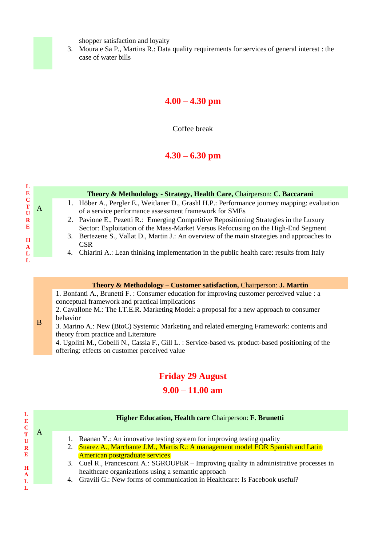shopper satisfaction and loyalty

3. Moura e Sa P., Martins R.: Data quality requirements for services of general interest : the case of water bills

## **4.00 – 4.30 pm**

Coffee break

# **4.30 – 6.30 pm**

**L**

A

B

#### **Theory & Methodology - Strategy, Health Care,** Chairperson: **C. Baccarani**

- 1. Höber A., Pergler E., Weitlaner D., Grashl H.P.: Performance journey mapping: evaluation of a service performance assessment framework for SMEs
- 2. Pavione E., Pezetti R.: Emerging Competitive Repositioning Strategies in the Luxury Sector: Exploitation of the Mass-Market Versus Refocusing on the High-End Segment
- 3. Bertezene S., Vallat D., Martin J.: An overview of the main strategies and approaches to **CSR**
- 4. Chiarini A.: Lean thinking implementation in the public health care: results from Italy

#### **Theory & Methodology – Customer satisfaction,** Chairperson: **J. Martin**

1. Bonfanti A., Brunetti F. : Consumer education for improving customer perceived value : a conceptual framework and practical implications

2. Cavallone M.: The I.T.E.R. Marketing Model: a proposal for a new approach to consumer behavior

3. Marino A.: New (BtoC) Systemic Marketing and related emerging Framework: contents and theory from practice and Literature

4. Ugolini M., Cobelli N., Cassia F., Gill L. : Service-based vs. product-based positioning of the offering: effects on customer perceived value

# **Friday 29 August**

## **9.00 – 11.00 am**

| E<br>$\mathbf C$             |   | <b>Higher Education, Health care Chairperson: F. Brunetti</b>                                                                                                                                                                 |  |
|------------------------------|---|-------------------------------------------------------------------------------------------------------------------------------------------------------------------------------------------------------------------------------|--|
| $\mathbf U$<br>$\bf{R}$<br>E | A | Raanan Y.: An innovative testing system for improving testing quality<br>Suarez A., Marchante J.M., Martis R.: A management model FOR Spanish and Latin<br><b>American postgraduate services</b>                              |  |
| H<br>$\mathbf{A}$            |   | 3. Cuel R., Francesconi A.: SGROUPER – Improving quality in administrative processes in<br>healthcare organizations using a semantic approach<br>4. Gravili G.: New forms of communication in Healthcare: Is Facebook useful? |  |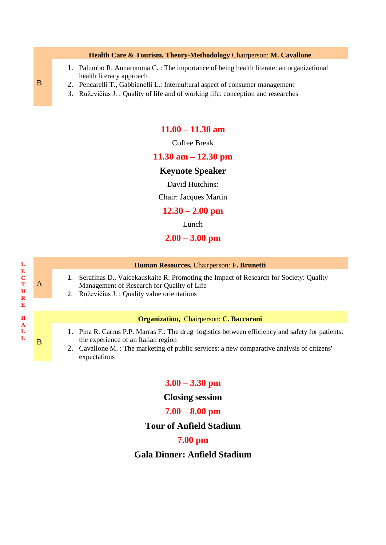#### **Health Care & Tourism, Theory-Methodology** Chairperson: **M. Cavallone**

- 1. Palumbo R. Annarumma C. : The importance of being health literate: an organizational health literacy approach
- 2. Pencarelli T., Gabbianelli L.: Intercultural aspect of consumer management
- 3. Ruževičius J. : Quality of life and of working life: conception and researches

#### **11.00 – 11.30 am**

Coffee Break

#### **11.30 am – 12.30 pm**

#### **Keynote Speaker**

David Hutchins:

Chair: Jacques Martin

#### **12.30 – 2.00 pm**

Lunch

#### **2.00 – 3.00 pm**

#### **Human Resources,** Chairperson: **F. Brunetti**

- 1. Serafinas D., Vaicekauskaite R: Promoting the Impact of Research for Society: Quality Management of Research for Quality of Life
- 2. Ruževičius J. : Quality value orientations

#### **Organization,** Chairperson: **C. Baccarani**

- 1. Pina R. Carrus P.P. Marras F.: The drug logistics between efficiency and safety for patients: the experience of an Italian region
- 2. Cavallone M. : The marketing of public services: a new comparative analysis of citizens' expectations

#### **3.00 – 3.30 pm**

#### **Closing session**

#### **7.00 – 8.00 pm**

#### **Tour of Anfield Stadium**

#### **7.00 pm**

### **Gala Dinner: Anfield Stadium**

A

B